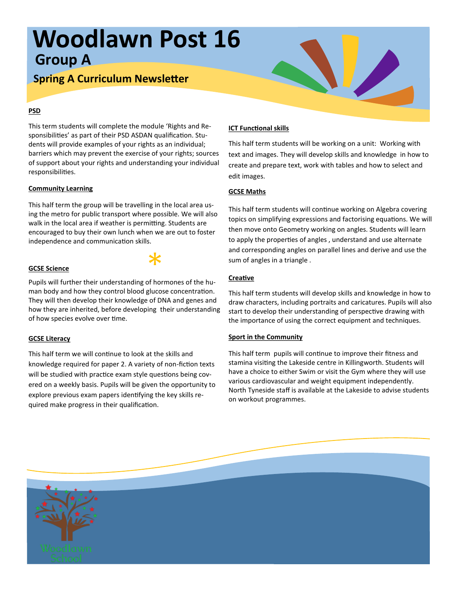# **Woodlawn Post 16 Group A**

## **Spring A Curriculum Newsletter**

### **PSD**

This term students will complete the module 'Rights and Responsibilities' as part of their PSD ASDAN qualification. Students will provide examples of your rights as an individual; barriers which may prevent the exercise of your rights; sources of support about your rights and understanding your individual responsibilities.

### **Community Learning**

This half term the group will be travelling in the local area using the metro for public transport where possible. We will also walk in the local area if weather is permitting. Students are encouraged to buy their own lunch when we are out to foster independence and communication skills.

### **GCSE Science**

end the Science Science<br>Pupils will further their understanding of hormones of the human body and how they control blood glucose concentration. They will then develop their knowledge of DNA and genes and how they are inherited, before developing their understanding of how species evolve over time.

### **GCSE Literacy**

This half term we will continue to look at the skills and knowledge required for paper 2. A variety of non-fiction texts will be studied with practice exam style questions being covered on a weekly basis. Pupils will be given the opportunity to explore previous exam papers identifying the key skills required make progress in their qualification.

### **ICT Functional skills**

This half term students will be working on a unit: Working with text and images. They will develop skills and knowledge in how to create and prepare text, work with tables and how to select and edit images.

### **GCSE Maths**

This half term students will continue working on Algebra covering topics on simplifying expressions and factorising equations. We will then move onto Geometry working on angles. Students will learn to apply the properties of angles , understand and use alternate and corresponding angles on parallel lines and derive and use the sum of angles in a triangle .

### **Creative**

This half term students will develop skills and knowledge in how to draw characters, including portraits and caricatures. Pupils will also start to develop their understanding of perspective drawing with the importance of using the correct equipment and techniques.

### **Sport in the Community**

This half term pupils will continue to improve their fitness and stamina visiting the Lakeside centre in Killingworth. Students will have a choice to either Swim or visit the Gym where they will use various cardiovascular and weight equipment independently. North Tyneside staff is available at the Lakeside to advise students on workout programmes.